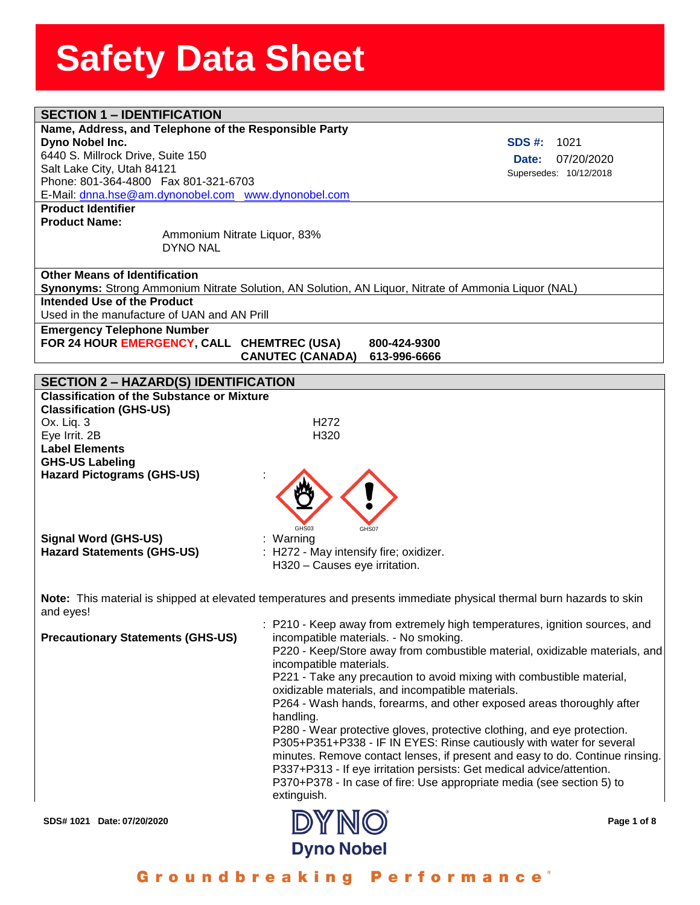| <b>SECTION 1 - IDENTIFICATION</b>                                                                |                                        |                                                                                                                      |
|--------------------------------------------------------------------------------------------------|----------------------------------------|----------------------------------------------------------------------------------------------------------------------|
| Name, Address, and Telephone of the Responsible Party                                            |                                        |                                                                                                                      |
| Dyno Nobel Inc.                                                                                  |                                        | <b>SDS #:</b><br>1021                                                                                                |
| 6440 S. Millrock Drive, Suite 150                                                                |                                        | 07/20/2020<br>Date:                                                                                                  |
| Salt Lake City, Utah 84121                                                                       |                                        |                                                                                                                      |
| Phone: 801-364-4800  Fax 801-321-6703                                                            |                                        | Supersedes: 10/12/2018                                                                                               |
| E-Mail: dnna.hse@am.dynonobel.com www.dynonobel.com                                              |                                        |                                                                                                                      |
| <b>Product Identifier</b>                                                                        |                                        |                                                                                                                      |
| <b>Product Name:</b>                                                                             |                                        |                                                                                                                      |
| Ammonium Nitrate Liquor, 83%                                                                     |                                        |                                                                                                                      |
| <b>DYNO NAL</b>                                                                                  |                                        |                                                                                                                      |
|                                                                                                  |                                        |                                                                                                                      |
| <b>Other Means of Identification</b>                                                             |                                        |                                                                                                                      |
|                                                                                                  |                                        | Synonyms: Strong Ammonium Nitrate Solution, AN Solution, AN Liquor, Nitrate of Ammonia Liquor (NAL)                  |
| Intended Use of the Product                                                                      |                                        |                                                                                                                      |
| Used in the manufacture of UAN and AN Prill                                                      |                                        |                                                                                                                      |
|                                                                                                  |                                        |                                                                                                                      |
| <b>Emergency Telephone Number</b>                                                                |                                        |                                                                                                                      |
| FOR 24 HOUR EMERGENCY, CALL CHEMTREC (USA)                                                       |                                        | 800-424-9300                                                                                                         |
|                                                                                                  | <b>CANUTEC (CANADA)</b>                | 613-996-6666                                                                                                         |
|                                                                                                  |                                        |                                                                                                                      |
| <b>SECTION 2 - HAZARD(S) IDENTIFICATION</b><br><b>Classification of the Substance or Mixture</b> |                                        |                                                                                                                      |
|                                                                                                  |                                        |                                                                                                                      |
| <b>Classification (GHS-US)</b>                                                                   |                                        |                                                                                                                      |
| Ox. Liq. 3                                                                                       | H <sub>272</sub>                       |                                                                                                                      |
| Eye Irrit. 2B                                                                                    | H320                                   |                                                                                                                      |
| <b>Label Elements</b>                                                                            |                                        |                                                                                                                      |
| <b>GHS-US Labeling</b>                                                                           |                                        |                                                                                                                      |
| <b>Hazard Pictograms (GHS-US)</b>                                                                |                                        |                                                                                                                      |
|                                                                                                  |                                        |                                                                                                                      |
|                                                                                                  |                                        |                                                                                                                      |
|                                                                                                  |                                        |                                                                                                                      |
|                                                                                                  | GHS <sub>03</sub>                      | GHS07                                                                                                                |
| <b>Signal Word (GHS-US)</b>                                                                      | : Warning                              |                                                                                                                      |
| <b>Hazard Statements (GHS-US)</b>                                                                | : H272 - May intensify fire; oxidizer. |                                                                                                                      |
|                                                                                                  | H320 - Causes eye irritation.          |                                                                                                                      |
|                                                                                                  |                                        |                                                                                                                      |
|                                                                                                  |                                        | Note: This material is shipped at elevated temperatures and presents immediate physical thermal burn hazards to skin |
|                                                                                                  |                                        |                                                                                                                      |
| and eyes!                                                                                        |                                        |                                                                                                                      |
|                                                                                                  |                                        | : P210 - Keep away from extremely high temperatures, ignition sources, and                                           |
| <b>Precautionary Statements (GHS-US)</b>                                                         |                                        | incompatible materials. - No smoking.                                                                                |
|                                                                                                  |                                        | P220 - Keep/Store away from combustible material, oxidizable materials, and                                          |
|                                                                                                  | incompatible materials.                |                                                                                                                      |
|                                                                                                  |                                        | P221 - Take any precaution to avoid mixing with combustible material,                                                |
|                                                                                                  |                                        | oxidizable materials, and incompatible materials.                                                                    |
|                                                                                                  |                                        | P264 - Wash hands, forearms, and other exposed areas thoroughly after                                                |
|                                                                                                  | handling.                              |                                                                                                                      |
|                                                                                                  |                                        | P280 - Wear protective gloves, protective clothing, and eye protection.                                              |
|                                                                                                  |                                        | P305+P351+P338 - IF IN EYES: Rinse cautiously with water for several                                                 |
|                                                                                                  |                                        | minutes. Remove contact lenses, if present and easy to do. Continue rinsing.                                         |
|                                                                                                  |                                        | P337+P313 - If eye irritation persists: Get medical advice/attention.                                                |
|                                                                                                  |                                        | P370+P378 - In case of fire: Use appropriate media (see section 5) to                                                |
|                                                                                                  | extinguish.                            |                                                                                                                      |
|                                                                                                  |                                        |                                                                                                                      |
| SDS# 1021 Date: 07/20/2020                                                                       | DYNO                                   | Page 1 of 8                                                                                                          |
|                                                                                                  |                                        |                                                                                                                      |
|                                                                                                  | <b>Dyno Nobel</b>                      |                                                                                                                      |

Groundbreaking Performance®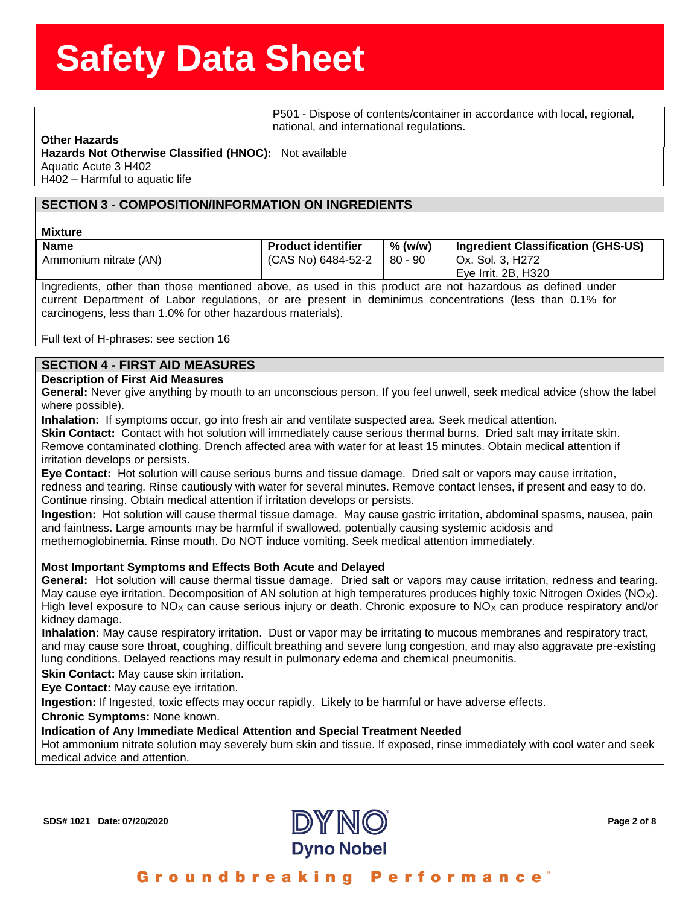ssense of the state of the state of the state of the state of the state of the state of the state of the state o<br>P501 - Dispose of contents/container in accordance with local, regional, national, and international regulations.

#### **Other Hazards**

**eeSheet Hazards Not Otherwise Classified (HNOC):** Not available Aquatic Acute 3 H402 H402 – Harmful to aquatic life

### **SECTION 3 - COMPOSITION/INFORMATION ON INGREDIENTS**

#### **Mixture**

| <b>Name</b>           | <b>Product identifier</b>    | $%$ (w/w) | Ingredient Classification (GHS-US) |
|-----------------------|------------------------------|-----------|------------------------------------|
| Ammonium nitrate (AN) | $(CAS No) 6484-52-2 80 - 90$ |           | Ox. Sol. 3, H272                   |
|                       |                              |           | Eye Irrit. 2B, H320                |

Ingredients, other than those mentioned above, as used in this product are not hazardous as defined under current Department of Labor regulations, or are present in deminimus concentrations (less than 0.1% for carcinogens, less than 1.0% for other hazardous materials).

Full text of H-phrases: see section 16

### **SECTION 4 - FIRST AID MEASURES**

#### **Description of First Aid Measures**

**General:** Never give anything by mouth to an unconscious person. If you feel unwell, seek medical advice (show the label where possible).

**Inhalation:** If symptoms occur, go into fresh air and ventilate suspected area. Seek medical attention.

**Skin Contact:** Contact with hot solution will immediately cause serious thermal burns. Dried salt may irritate skin. Remove contaminated clothing. Drench affected area with water for at least 15 minutes. Obtain medical attention if irritation develops or persists.

**Eye Contact:** Hot solution will cause serious burns and tissue damage. Dried salt or vapors may cause irritation, redness and tearing. Rinse cautiously with water for several minutes. Remove contact lenses, if present and easy to do. Continue rinsing. Obtain medical attention if irritation develops or persists.

**Ingestion:** Hot solution will cause thermal tissue damage. May cause gastric irritation, abdominal spasms, nausea, pain and faintness. Large amounts may be harmful if swallowed, potentially causing systemic acidosis and methemoglobinemia. Rinse mouth. Do NOT induce vomiting. Seek medical attention immediately.

#### **Most Important Symptoms and Effects Both Acute and Delayed**

**General:** Hot solution will cause thermal tissue damage. Dried salt or vapors may cause irritation, redness and tearing. May cause eye irritation. Decomposition of AN solution at high temperatures produces highly toxic Nitrogen Oxides (NO<sub>X</sub>). High level exposure to NO<sub>X</sub> can cause serious injury or death. Chronic exposure to NO<sub>X</sub> can produce respiratory and/or kidney damage.

**Inhalation:** May cause respiratory irritation. Dust or vapor may be irritating to mucous membranes and respiratory tract, and may cause sore throat, coughing, difficult breathing and severe lung congestion, and may also aggravate pre-existing lung conditions. Delayed reactions may result in pulmonary edema and chemical pneumonitis.

**Skin Contact:** May cause skin irritation.

**Eye Contact:** May cause eye irritation.

**Ingestion:** If Ingested, toxic effects may occur rapidly. Likely to be harmful or have adverse effects.

**Chronic Symptoms:** None known.

#### **Indication of Any Immediate Medical Attention and Special Treatment Needed**

Hot ammonium nitrate solution may severely burn skin and tissue. If exposed, rinse immediately with cool water and seek medical advice and attention.

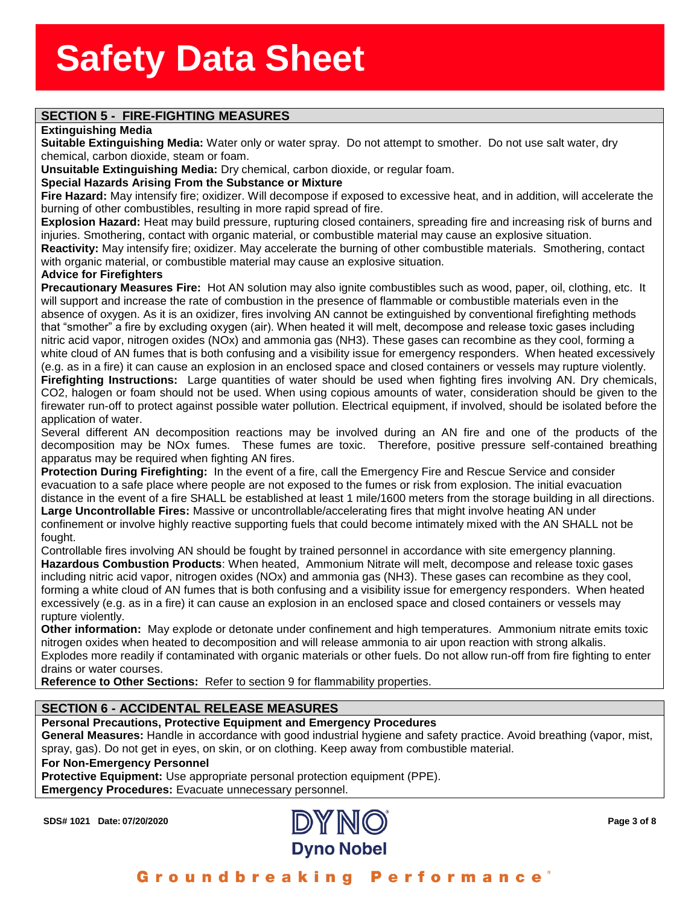# **SECTION 5 - FIRE-FIGHTING MEASURES**

#### **Extinguishing Media**

**tinguishing Media**<br>**itable Extinguishing Medi**a<br>emical, carbon dioxide, steaı **Suitable Extinguishing Media:** Water only or water spray. Do not attempt to smother. Do not use salt water, dry chemical, carbon dioxide, steam or foam.

**Unsuitable Extinguishing Media:** Dry chemical, carbon dioxide, or regular foam.

#### **Special Hazards Arising From the Substance or Mixture**

**Fire Hazard:** May intensify fire; oxidizer. Will decompose if exposed to excessive heat, and in addition, will accelerate the burning of other combustibles, resulting in more rapid spread of fire.

**Explosion Hazard:** Heat may build pressure, rupturing closed containers, spreading fire and increasing risk of burns and injuries. Smothering, contact with organic material, or combustible material may cause an explosive situation.

**Reactivity:** May intensify fire; oxidizer. May accelerate the burning of other combustible materials. Smothering, contact with organic material, or combustible material may cause an explosive situation.

#### **Advice for Firefighters**

**Precautionary Measures Fire:** Hot AN solution may also ignite combustibles such as wood, paper, oil, clothing, etc. It will support and increase the rate of combustion in the presence of flammable or combustible materials even in the absence of oxygen. As it is an oxidizer, fires involving AN cannot be extinguished by conventional firefighting methods that "smother" a fire by excluding oxygen (air). When heated it will melt, decompose and release toxic gases including nitric acid vapor, nitrogen oxides (NOx) and ammonia gas (NH3). These gases can recombine as they cool, forming a white cloud of AN fumes that is both confusing and a visibility issue for emergency responders. When heated excessively (e.g. as in a fire) it can cause an explosion in an enclosed space and closed containers or vessels may rupture violently. **Firefighting Instructions:** Large quantities of water should be used when fighting fires involving AN. Dry chemicals, CO2, halogen or foam should not be used. When using copious amounts of water, consideration should be given to the firewater run-off to protect against possible water pollution. Electrical equipment, if involved, should be isolated before the application of water.

Several different AN decomposition reactions may be involved during an AN fire and one of the products of the decomposition may be NOx fumes. These fumes are toxic. Therefore, positive pressure self-contained breathing apparatus may be required when fighting AN fires.

**Protection During Firefighting:** In the event of a fire, call the Emergency Fire and Rescue Service and consider evacuation to a safe place where people are not exposed to the fumes or risk from explosion. The initial evacuation distance in the event of a fire SHALL be established at least 1 mile/1600 meters from the storage building in all directions. **Large Uncontrollable Fires:** Massive or uncontrollable/accelerating fires that might involve heating AN under confinement or involve highly reactive supporting fuels that could become intimately mixed with the AN SHALL not be fought.

Controllable fires involving AN should be fought by trained personnel in accordance with site emergency planning. **Hazardous Combustion Products**: When heated, Ammonium Nitrate will melt, decompose and release toxic gases including nitric acid vapor, nitrogen oxides (NOx) and ammonia gas (NH3). These gases can recombine as they cool, forming a white cloud of AN fumes that is both confusing and a visibility issue for emergency responders. When heated excessively (e.g. as in a fire) it can cause an explosion in an enclosed space and closed containers or vessels may rupture violently.

**Other information:** May explode or detonate under confinement and high temperatures. Ammonium nitrate emits toxic nitrogen oxides when heated to decomposition and will release ammonia to air upon reaction with strong alkalis. Explodes more readily if contaminated with organic materials or other fuels. Do not allow run-off from fire fighting to enter drains or water courses.

**Reference to Other Sections:** Refer to section 9 for flammability properties.

## **SECTION 6 - ACCIDENTAL RELEASE MEASURES**

#### **Personal Precautions, Protective Equipment and Emergency Procedures**

**General Measures:** Handle in accordance with good industrial hygiene and safety practice. Avoid breathing (vapor, mist, spray, gas). Do not get in eyes, on skin, or on clothing. Keep away from combustible material.

#### **For Non-Emergency Personnel**

**Protective Equipment:** Use appropriate personal protection equipment (PPE). **Emergency Procedures:** Evacuate unnecessary personnel.

**SDS# 1021 Date: 07/20/2020 Page 3 of 8**

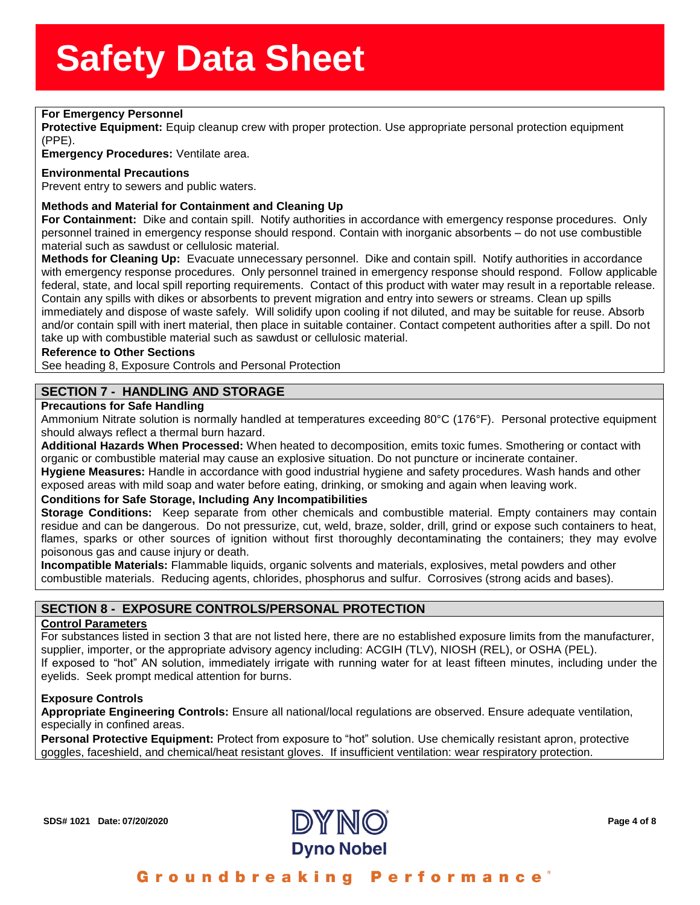## **For Emergency Personnel & SherrSheet SherrSheet SherrSheet SherrSheet SherrSheet SherrSheet SherrSheet SherrSheet**<br>Primary SherrSheet SherrSheet SherrSheet SherrSheet SherrSheet SherrSheet SherrSheet SherrSheet SherrSheet

**Protective Equipment:** Equip cleanup cr<br>(PPE).<br>**Emergency Procedures:** Ventilate area. **Protective Equipment:** Equip cleanup crew with proper protection. Use appropriate personal protection equipment (PPE).

#### **Environmental Precautions**

Prevent entry to sewers and public waters.

#### **Methods and Material for Containment and Cleaning Up**

**For Containment:** Dike and contain spill. Notify authorities in accordance with emergency response procedures. Only personnel trained in emergency response should respond. Contain with inorganic absorbents – do not use combustible material such as sawdust or cellulosic material.

**Methods for Cleaning Up:** Evacuate unnecessary personnel. Dike and contain spill. Notify authorities in accordance with emergency response procedures. Only personnel trained in emergency response should respond. Follow applicable federal, state, and local spill reporting requirements. Contact of this product with water may result in a reportable release. Contain any spills with dikes or absorbents to prevent migration and entry into sewers or streams. Clean up spills immediately and dispose of waste safely. Will solidify upon cooling if not diluted, and may be suitable for reuse. Absorb and/or contain spill with inert material, then place in suitable container. Contact competent authorities after a spill. Do not take up with combustible material such as sawdust or cellulosic material.

#### **Reference to Other Sections**

See heading 8, Exposure Controls and Personal Protection

## **SECTION 7 - HANDLING AND STORAGE**

#### **Precautions for Safe Handling**

Ammonium Nitrate solution is normally handled at temperatures exceeding 80°C (176°F). Personal protective equipment should always reflect a thermal burn hazard.

**Additional Hazards When Processed:** When heated to decomposition, emits toxic fumes. Smothering or contact with organic or combustible material may cause an explosive situation. Do not puncture or incinerate container. **Hygiene Measures:** Handle in accordance with good industrial hygiene and safety procedures. Wash hands and other

exposed areas with mild soap and water before eating, drinking, or smoking and again when leaving work.

#### **Conditions for Safe Storage, Including Any Incompatibilities**

**Storage Conditions:** Keep separate from other chemicals and combustible material. Empty containers may contain residue and can be dangerous. Do not pressurize, cut, weld, braze, solder, drill, grind or expose such containers to heat, flames, sparks or other sources of ignition without first thoroughly decontaminating the containers; they may evolve poisonous gas and cause injury or death.

**Incompatible Materials:** Flammable liquids, organic solvents and materials, explosives, metal powders and other combustible materials. Reducing agents, chlorides, phosphorus and sulfur. Corrosives (strong acids and bases).

### **SECTION 8 - EXPOSURE CONTROLS/PERSONAL PROTECTION**

#### **Control Parameters**

For substances listed in section 3 that are not listed here, there are no established exposure limits from the manufacturer, supplier, importer, or the appropriate advisory agency including: ACGIH (TLV), NIOSH (REL), or OSHA (PEL). If exposed to "hot" AN solution, immediately irrigate with running water for at least fifteen minutes, including under the eyelids. Seek prompt medical attention for burns.

#### **Exposure Controls**

**Appropriate Engineering Controls:** Ensure all national/local regulations are observed. Ensure adequate ventilation, especially in confined areas.

**Personal Protective Equipment:** Protect from exposure to "hot" solution. Use chemically resistant apron, protective goggles, faceshield, and chemical/heat resistant gloves. If insufficient ventilation: wear respiratory protection.

**SDS# 1021 Date: 07/20/2020 Page 4 of 8**

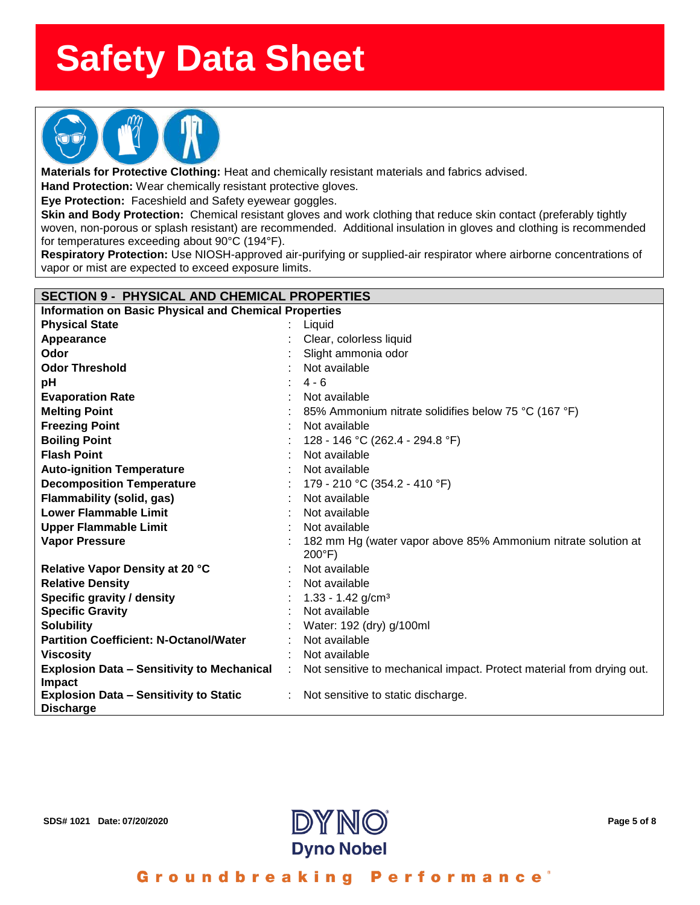

**Materials for Protective Clothing:** Heat and chemically resistant materials and fabrics advised.

**Hand Protection:** Wear chemically resistant protective gloves.

**Eye Protection:** Faceshield and Safety eyewear goggles.

**Skin and Body Protection:** Chemical resistant gloves and work clothing that reduce skin contact (preferably tightly woven, non-porous or splash resistant) are recommended. Additional insulation in gloves and clothing is recommended for temperatures exceeding about 90°C (194°F).

**Respiratory Protection:** Use NIOSH-approved air-purifying or supplied-air respirator where airborne concentrations of vapor or mist are expected to exceed exposure limits.

| <b>SECTION 9 - PHYSICAL AND CHEMICAL PROPERTIES</b>               |  |                                                                                   |
|-------------------------------------------------------------------|--|-----------------------------------------------------------------------------------|
| <b>Information on Basic Physical and Chemical Properties</b>      |  |                                                                                   |
| <b>Physical State</b>                                             |  | Liquid                                                                            |
| Appearance                                                        |  | Clear, colorless liquid                                                           |
| Odor                                                              |  | Slight ammonia odor                                                               |
| <b>Odor Threshold</b>                                             |  | Not available                                                                     |
| рH                                                                |  | $4 - 6$                                                                           |
| <b>Evaporation Rate</b>                                           |  | Not available                                                                     |
| <b>Melting Point</b>                                              |  | 85% Ammonium nitrate solidifies below 75 °C (167 °F)                              |
| <b>Freezing Point</b>                                             |  | Not available                                                                     |
| <b>Boiling Point</b>                                              |  | 128 - 146 °C (262.4 - 294.8 °F)                                                   |
| <b>Flash Point</b>                                                |  | Not available                                                                     |
| <b>Auto-ignition Temperature</b>                                  |  | Not available                                                                     |
| <b>Decomposition Temperature</b>                                  |  | 179 - 210 °C (354.2 - 410 °F)                                                     |
| Flammability (solid, gas)                                         |  | Not available                                                                     |
| <b>Lower Flammable Limit</b>                                      |  | Not available                                                                     |
| <b>Upper Flammable Limit</b>                                      |  | Not available                                                                     |
| <b>Vapor Pressure</b>                                             |  | 182 mm Hg (water vapor above 85% Ammonium nitrate solution at<br>$200^{\circ}$ F) |
| Relative Vapor Density at 20 °C                                   |  | Not available                                                                     |
| <b>Relative Density</b>                                           |  | Not available                                                                     |
| Specific gravity / density                                        |  | $1.33 - 1.42$ g/cm <sup>3</sup>                                                   |
| <b>Specific Gravity</b>                                           |  | Not available                                                                     |
| <b>Solubility</b>                                                 |  | Water: 192 (dry) g/100ml                                                          |
| <b>Partition Coefficient: N-Octanol/Water</b>                     |  | Not available                                                                     |
| <b>Viscosity</b>                                                  |  | Not available                                                                     |
| <b>Explosion Data - Sensitivity to Mechanical</b><br>Impact       |  | Not sensitive to mechanical impact. Protect material from drying out.             |
| <b>Explosion Data - Sensitivity to Static</b><br><b>Discharge</b> |  | Not sensitive to static discharge.                                                |



Groundbreaking Performance<sup>®</sup>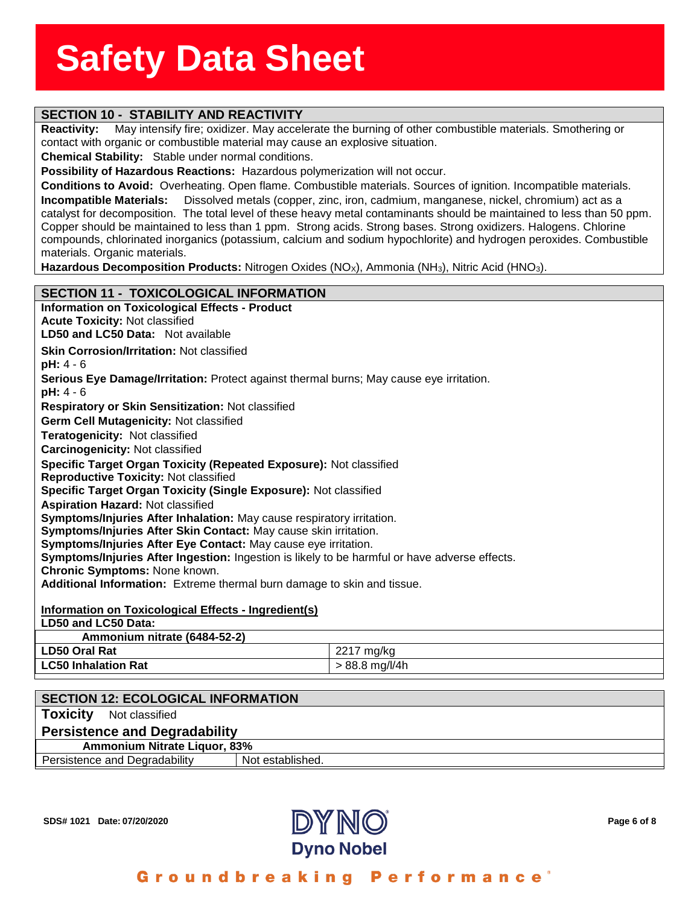# **SECTION 10 - STABILITY AND REACTIVITY**

**Reactivity:** May intensify fire; oxidizer. May accelera<br>contact with organic or combustible material may caus<br>**Chemical Stability:** Stable under normal conditions. **Reactivity:** May intensify fire; oxidizer. May accelerate the burning of other combustible materials. Smothering or contact with organic or combustible material may cause an explosive situation.

**Possibility of Hazardous Reactions:** Hazardous polymerization will not occur.

**Conditions to Avoid:** Overheating. Open flame. Combustible materials. Sources of ignition. Incompatible materials. **Incompatible Materials:** Dissolved metals (copper, zinc, iron, cadmium, manganese, nickel, chromium) act as a catalyst for decomposition. The total level of these heavy metal contaminants should be maintained to less than 50 ppm. Copper should be maintained to less than 1 ppm. Strong acids. Strong bases. Strong oxidizers. Halogens. Chlorine compounds, chlorinated inorganics (potassium, calcium and sodium hypochlorite) and hydrogen peroxides. Combustible materials. Organic materials.

Hazardous Decomposition Products: Nitrogen Oxides (NO<sub>X</sub>), Ammonia (NH<sub>3</sub>), Nitric Acid (HNO<sub>3</sub>).

### **SECTION 11 - TOXICOLOGICAL INFORMATION**

| <b>Information on Toxicological Effects - Product</b>                                         |                  |  |
|-----------------------------------------------------------------------------------------------|------------------|--|
| <b>Acute Toxicity: Not classified</b>                                                         |                  |  |
| <b>LD50 and LC50 Data: Not available</b>                                                      |                  |  |
| <b>Skin Corrosion/Irritation: Not classified</b>                                              |                  |  |
| $pH: 4 - 6$                                                                                   |                  |  |
| Serious Eye Damage/Irritation: Protect against thermal burns; May cause eye irritation.       |                  |  |
| $pH: 4 - 6$                                                                                   |                  |  |
| <b>Respiratory or Skin Sensitization: Not classified</b>                                      |                  |  |
| Germ Cell Mutagenicity: Not classified                                                        |                  |  |
| Teratogenicity: Not classified                                                                |                  |  |
| <b>Carcinogenicity: Not classified</b>                                                        |                  |  |
| Specific Target Organ Toxicity (Repeated Exposure): Not classified                            |                  |  |
| <b>Reproductive Toxicity: Not classified</b>                                                  |                  |  |
| Specific Target Organ Toxicity (Single Exposure): Not classified                              |                  |  |
| <b>Aspiration Hazard: Not classified</b>                                                      |                  |  |
| Symptoms/Injuries After Inhalation: May cause respiratory irritation.                         |                  |  |
| Symptoms/Injuries After Skin Contact: May cause skin irritation.                              |                  |  |
| Symptoms/Injuries After Eye Contact: May cause eye irritation.                                |                  |  |
| Symptoms/Injuries After Ingestion: Ingestion is likely to be harmful or have adverse effects. |                  |  |
| <b>Chronic Symptoms: None known.</b>                                                          |                  |  |
| Additional Information: Extreme thermal burn damage to skin and tissue.                       |                  |  |
|                                                                                               |                  |  |
| <b>Information on Toxicological Effects - Ingredient(s)</b><br>LD50 and LC50 Data:            |                  |  |
|                                                                                               |                  |  |
| Ammonium nitrate (6484-52-2)<br><b>LD50 Oral Rat</b>                                          |                  |  |
|                                                                                               | 2217 mg/kg       |  |
| <b>LC50 Inhalation Rat</b>                                                                    | $> 88.8$ mg/l/4h |  |
|                                                                                               |                  |  |

| <b>SECTION 12: ECOLOGICAL INFORMATION</b> |                  |  |  |  |  |
|-------------------------------------------|------------------|--|--|--|--|
| Toxicity<br>Not classified                |                  |  |  |  |  |
| <b>Persistence and Degradability</b>      |                  |  |  |  |  |
| Ammonium Nitrate Liquor, 83%              |                  |  |  |  |  |
| Persistence and Degradability             | Not established. |  |  |  |  |
|                                           |                  |  |  |  |  |



Groundbreaking Performance<sup>®</sup>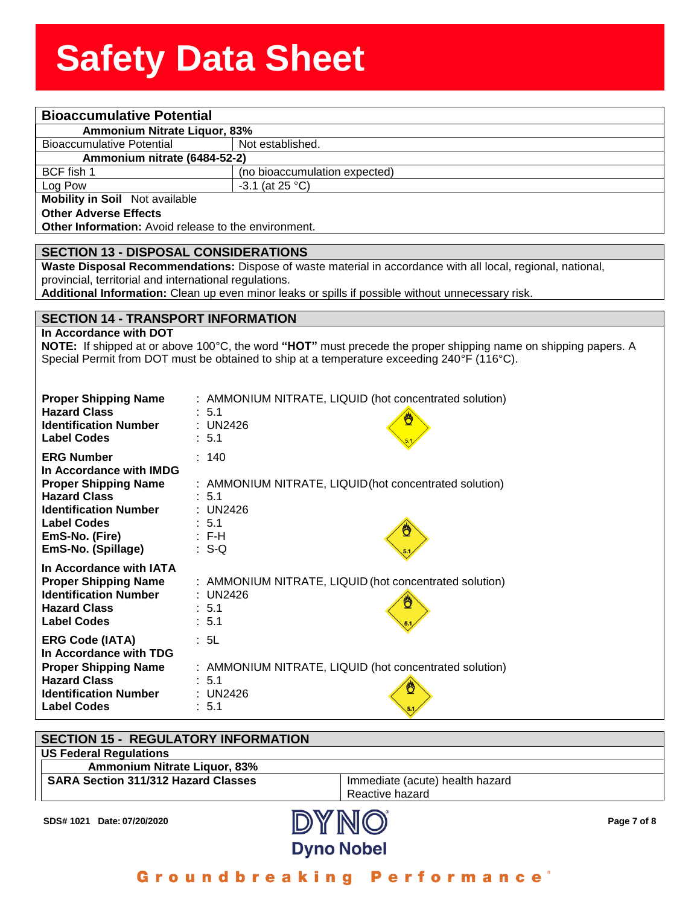| <b>Bioaccumulative Potential</b>                                    |                                                                                                                |  |  |
|---------------------------------------------------------------------|----------------------------------------------------------------------------------------------------------------|--|--|
| Ammonium Nitrate Liquor, 83%                                        |                                                                                                                |  |  |
| <b>Bioaccumulative Potential</b>                                    | Not established.                                                                                               |  |  |
| Ammonium nitrate (6484-52-2)                                        |                                                                                                                |  |  |
| BCF fish 1                                                          | (no bioaccumulation expected)                                                                                  |  |  |
| Log Pow                                                             | $-3.1$ (at 25 °C)                                                                                              |  |  |
| Mobility in Soil Not available                                      |                                                                                                                |  |  |
| <b>Other Adverse Effects</b>                                        |                                                                                                                |  |  |
| Other Information: Avoid release to the environment.                |                                                                                                                |  |  |
| <b>SECTION 13 - DISPOSAL CONSIDERATIONS</b>                         |                                                                                                                |  |  |
|                                                                     | Waste Disposal Recommendations: Dispose of waste material in accordance with all local, regional, national,    |  |  |
| provincial, territorial and international regulations.              |                                                                                                                |  |  |
|                                                                     | Additional Information: Clean up even minor leaks or spills if possible without unnecessary risk.              |  |  |
|                                                                     |                                                                                                                |  |  |
| <b>SECTION 14 - TRANSPORT INFORMATION</b><br>In Accordance with DOT |                                                                                                                |  |  |
|                                                                     | NOTE: If shipped at or above 100°C, the word "HOT" must precede the proper shipping name on shipping papers. A |  |  |
|                                                                     | Special Permit from DOT must be obtained to ship at a temperature exceeding 240°F (116°C).                     |  |  |
|                                                                     |                                                                                                                |  |  |
|                                                                     |                                                                                                                |  |  |
| <b>Proper Shipping Name</b>                                         | : AMMONIUM NITRATE, LIQUID (hot concentrated solution)                                                         |  |  |
| <b>Hazard Class</b>                                                 | : 5.1                                                                                                          |  |  |
| <b>Identification Number</b>                                        | : UN2426                                                                                                       |  |  |
| <b>Label Codes</b>                                                  | : 5.1                                                                                                          |  |  |
| <b>ERG Number</b><br>: 140                                          |                                                                                                                |  |  |
| In Accordance with IMDG                                             |                                                                                                                |  |  |
| <b>Proper Shipping Name</b>                                         | : AMMONIUM NITRATE, LIQUID (hot concentrated solution)                                                         |  |  |
| <b>Hazard Class</b><br>: 5.1                                        |                                                                                                                |  |  |
| <b>Identification Number</b>                                        | : UN2426                                                                                                       |  |  |
| <b>Label Codes</b><br>: 5.1                                         |                                                                                                                |  |  |
| EmS-No. (Fire)<br>$\therefore$ F-H                                  |                                                                                                                |  |  |
| EmS-No. (Spillage)<br>$: S-Q$                                       |                                                                                                                |  |  |
| In Accordance with IATA                                             |                                                                                                                |  |  |
| <b>Proper Shipping Name</b>                                         | : AMMONIUM NITRATE, LIQUID (hot concentrated solution)                                                         |  |  |
| <b>Identification Number</b>                                        | : UN2426<br>Ö                                                                                                  |  |  |
| <b>Hazard Class</b><br>$\therefore$ 5.1                             |                                                                                                                |  |  |
| : 5.1<br><b>Label Codes</b>                                         |                                                                                                                |  |  |
| <b>ERG Code (IATA)</b><br>: 5L                                      |                                                                                                                |  |  |
| In Accordance with TDG                                              |                                                                                                                |  |  |
| <b>Proper Shipping Name</b>                                         | : AMMONIUM NITRATE, LIQUID (hot concentrated solution)                                                         |  |  |
| <b>Hazard Class</b><br>: 5.1                                        | ₾                                                                                                              |  |  |
| <b>Identification Number</b>                                        | : UN2426                                                                                                       |  |  |
| : 5.1<br><b>Label Codes</b>                                         |                                                                                                                |  |  |

| <b>SECTION 15 - REGULATORY INFORMATION</b> |                                 |             |
|--------------------------------------------|---------------------------------|-------------|
| <b>US Federal Regulations</b>              |                                 |             |
| Ammonium Nitrate Liquor, 83%               |                                 |             |
| <b>SARA Section 311/312 Hazard Classes</b> | Immediate (acute) health hazard |             |
|                                            | Reactive hazard                 |             |
| SDS# 1021 Date: 07/20/2020                 | <b>DAMUU</b>                    | Page 7 of 8 |

Groundbreaking Performance®

**Dyno Nobel**